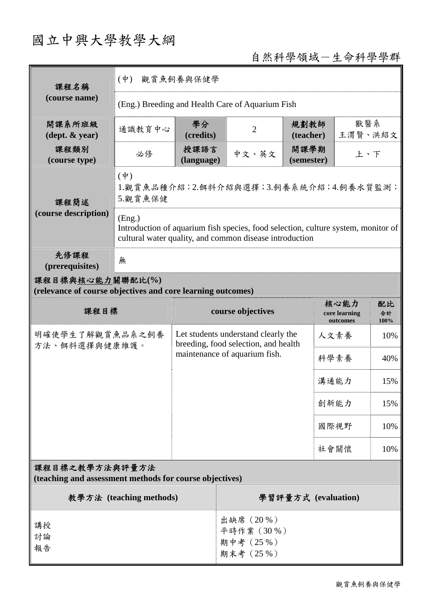# 國立中興大學教學大綱

## 自然科學領域-生命科學學群

| 課程名稱<br>(course name)                                                           | 觀賞魚飼養與保健學<br>$(\Psi)$                                                                                                                                  |                                                                                                              |                                                   |                    |                                                       |                |     |
|---------------------------------------------------------------------------------|--------------------------------------------------------------------------------------------------------------------------------------------------------|--------------------------------------------------------------------------------------------------------------|---------------------------------------------------|--------------------|-------------------------------------------------------|----------------|-----|
|                                                                                 | (Eng.) Breeding and Health Care of Aquarium Fish                                                                                                       |                                                                                                              |                                                   |                    |                                                       |                |     |
| 開課系所班級<br>$(\text{dept.} \& \text{ year})$                                      | 通識教育中心                                                                                                                                                 | 學分<br>(credits)                                                                                              | $\overline{2}$                                    | 規劃教師<br>(teacher)  |                                                       | 獸醫系<br>王渭賢、洪紹文 |     |
| 課程類別<br>(course type)                                                           | 必修                                                                                                                                                     | 授課語言<br>(language)                                                                                           | 中文、英文                                             | 開課學期<br>(semester) |                                                       | 上、下            |     |
| 課程簡述                                                                            | $(\dagger)$<br>1.觀賞魚品種介紹;2.餌料介紹與選擇;3.飼養系統介紹;4.飼養水質監測;<br>5.觀賞魚保健                                                                                       |                                                                                                              |                                                   |                    |                                                       |                |     |
| (course description)                                                            | (Eng.)<br>Introduction of aquarium fish species, food selection, culture system, monitor of<br>cultural water quality, and common disease introduction |                                                                                                              |                                                   |                    |                                                       |                |     |
| 先修課程<br>(prerequisites)                                                         | 無                                                                                                                                                      |                                                                                                              |                                                   |                    |                                                       |                |     |
| 課程目標與核心能力關聯配比(%)<br>(relevance of course objectives and core learning outcomes) |                                                                                                                                                        |                                                                                                              |                                                   |                    |                                                       |                |     |
| 課程目標                                                                            |                                                                                                                                                        | course objectives                                                                                            |                                                   |                    | 核心能力<br>配比<br>core learning<br>合計<br>outcomes<br>100% |                |     |
| 明確使學生了解觀賞魚品系之飼養<br>方法、餌料選擇與健康維護。                                                |                                                                                                                                                        | Let students understand clearly the<br>breeding, food selection, and health<br>maintenance of aquarium fish. |                                                   |                    | 人文素養                                                  |                | 10% |
|                                                                                 |                                                                                                                                                        |                                                                                                              |                                                   |                    | 科學素養                                                  |                | 40% |
|                                                                                 |                                                                                                                                                        |                                                                                                              |                                                   |                    | 溝通能力                                                  |                | 15% |
|                                                                                 |                                                                                                                                                        |                                                                                                              |                                                   |                    | 創新能力                                                  |                | 15% |
|                                                                                 |                                                                                                                                                        |                                                                                                              |                                                   |                    | 國際視野                                                  |                | 10% |
|                                                                                 | 社會關懷                                                                                                                                                   |                                                                                                              |                                                   |                    | 10%                                                   |                |     |
| 課程目標之教學方法與評量方法<br>(teaching and assessment methods for course objectives)       |                                                                                                                                                        |                                                                                                              |                                                   |                    |                                                       |                |     |
| 教學方法 (teaching methods)                                                         |                                                                                                                                                        |                                                                                                              | 學習評量方式 (evaluation)                               |                    |                                                       |                |     |
| 講授<br>討論<br>報告                                                                  |                                                                                                                                                        |                                                                                                              | 出缺席 (20%)<br>平時作業 (30%)<br>期中考 (25%)<br>期末考 (25%) |                    |                                                       |                |     |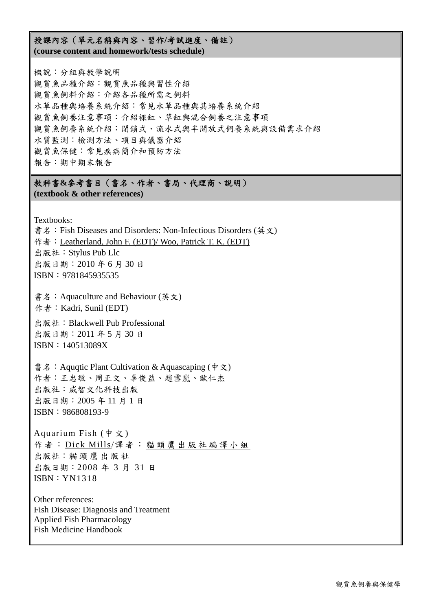#### 授課內容(單元名稱與內容、習作**/**考試進度、備註) **(course content and homework/tests schedule)**

概說:分組與教學說明 觀賞魚品種介紹:觀賞魚品種與習性介紹 觀賞魚飼料介紹:介紹各品種所需之飼料 水草品種與培養系統介紹:常見水草品種與其培養系統介紹 觀賞魚飼養注意事項:介紹裸缸、草缸與混合飼養之注意事項 觀賞魚飼養系統介紹:閉鎖式、流水式與半開放式飼養系統與設備需求介紹 水質監測:檢測方法、項目與儀器介紹 觀賞魚保健:常見疾病簡介和預防方法 報告:期中期末報告

#### 教科書**&**參考書目(書名、作者、書局、代理商、說明) **(textbook & other references)**

Textbooks:

書名: Fish Diseases and Disorders: Non-Infectious Disorders (英文) 作者:Leatherland, John F. (EDT)/ Woo, Patrick T. K. (EDT) 出版社:Stylus Pub Llc 出版日期:2010 年 6 月 30 日 ISBN:9781845935535 書名: Aquaculture and Behaviour (英文) 作者: Kadri, Sunil (EDT) 出版社:Blackwell Pub Professional 出版日期:2011 年 5 月 30 日 ISBN:140513089X

書名: Aquqtic Plant Cultivation & Aquascaping (中文) 作者:王忠敬、周正文、辜俊益、趙雪嵐、歐仁杰 出版社:威智文化科技出版 出版日期:2005 年 11 月 1 日 ISBN:986808193-9

Aquarium Fish (中 文 ) 作者: Dick Mills/譯者: 貓頭鷹出版社編譯小組 出版社:貓頭鷹出版社 出版日期:2008 年 3 月 31 日 ISBN:YN1318

Other references: Fish Disease: Diagnosis and Treatment Applied Fish Pharmacology Fish Medicine Handbook